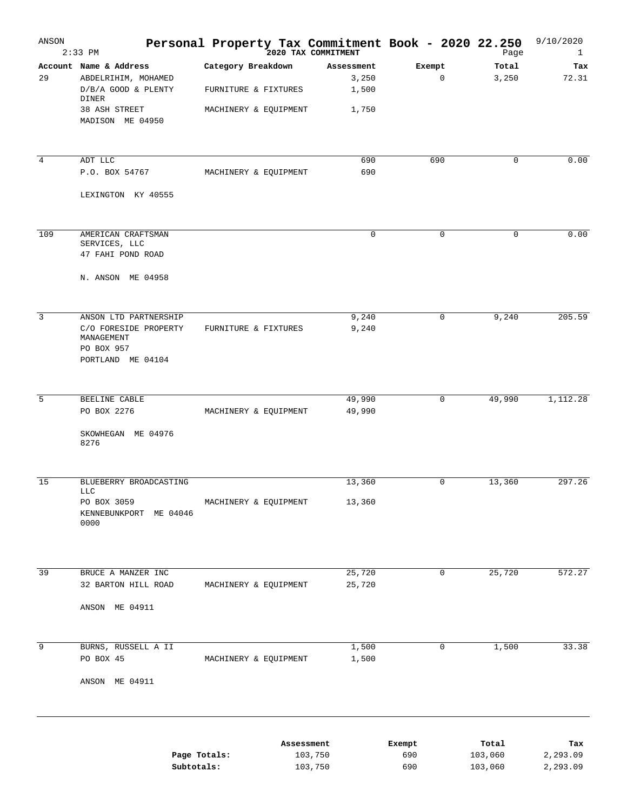| ANSON           | $2:33$ PM                                                              | Personal Property Tax Commitment Book - 2020 22.250 | 2020 TAX COMMITMENT          |                       | Page               | 9/10/2020<br>1       |
|-----------------|------------------------------------------------------------------------|-----------------------------------------------------|------------------------------|-----------------------|--------------------|----------------------|
| 29              | Account Name & Address<br>ABDELRIHIM, MOHAMED<br>D/B/A GOOD & PLENTY   | Category Breakdown<br>FURNITURE & FIXTURES          | Assessment<br>3,250<br>1,500 | Exempt<br>$\mathbf 0$ | Total<br>3,250     | Tax<br>72.31         |
|                 | DINER<br>38 ASH STREET<br>MADISON ME 04950                             | MACHINERY & EQUIPMENT                               | 1,750                        |                       |                    |                      |
| $\overline{4}$  | ADT LLC                                                                |                                                     | 690                          | 690                   | 0                  | 0.00                 |
|                 | P.O. BOX 54767<br>LEXINGTON KY 40555                                   | MACHINERY & EQUIPMENT                               | 690                          |                       |                    |                      |
|                 |                                                                        |                                                     |                              |                       |                    |                      |
| 109             | AMERICAN CRAFTSMAN<br>SERVICES, LLC<br>47 FAHI POND ROAD               |                                                     | $\mathbf 0$                  | $\mathbf 0$           | 0                  | 0.00                 |
|                 | N. ANSON ME 04958                                                      |                                                     |                              |                       |                    |                      |
| $\overline{3}$  | ANSON LTD PARTNERSHIP                                                  |                                                     | 9,240                        | $\mathbf 0$           | 9,240              | 205.59               |
|                 | C/O FORESIDE PROPERTY<br>MANAGEMENT<br>PO BOX 957<br>PORTLAND ME 04104 | FURNITURE & FIXTURES                                | 9,240                        |                       |                    |                      |
| 5               | BEELINE CABLE                                                          |                                                     | 49,990                       | $\mathbf 0$           | 49,990             | 1,112.28             |
|                 | PO BOX 2276<br>SKOWHEGAN ME 04976<br>8276                              | MACHINERY & EQUIPMENT                               | 49,990                       |                       |                    |                      |
|                 |                                                                        |                                                     |                              |                       |                    |                      |
| 15              | BLUEBERRY BROADCASTING<br><b>LLC</b>                                   |                                                     | 13,360                       | 0                     | 13,360             | 297.26               |
|                 | PO BOX 3059<br>KENNEBUNKPORT<br>ME 04046<br>0000                       | MACHINERY & EQUIPMENT                               | 13,360                       |                       |                    |                      |
| $\overline{39}$ | BRUCE A MANZER INC                                                     |                                                     | 25,720                       | 0                     | 25,720             | 572.27               |
|                 | 32 BARTON HILL ROAD                                                    | MACHINERY & EQUIPMENT                               | 25,720                       |                       |                    |                      |
|                 | ANSON ME 04911                                                         |                                                     |                              |                       |                    |                      |
| 9               | BURNS, RUSSELL A II<br>PO BOX 45                                       | MACHINERY & EQUIPMENT                               | 1,500<br>1,500               | $\mathbf 0$           | 1,500              | 33.38                |
|                 | ANSON ME 04911                                                         |                                                     |                              |                       |                    |                      |
|                 |                                                                        |                                                     |                              |                       |                    |                      |
|                 |                                                                        |                                                     | Assessment                   | Exempt                | Total              | Tax                  |
|                 | Subtotals:                                                             | Page Totals:                                        | 103,750<br>103,750           | 690<br>690            | 103,060<br>103,060 | 2,293.09<br>2,293.09 |
|                 |                                                                        |                                                     |                              |                       |                    |                      |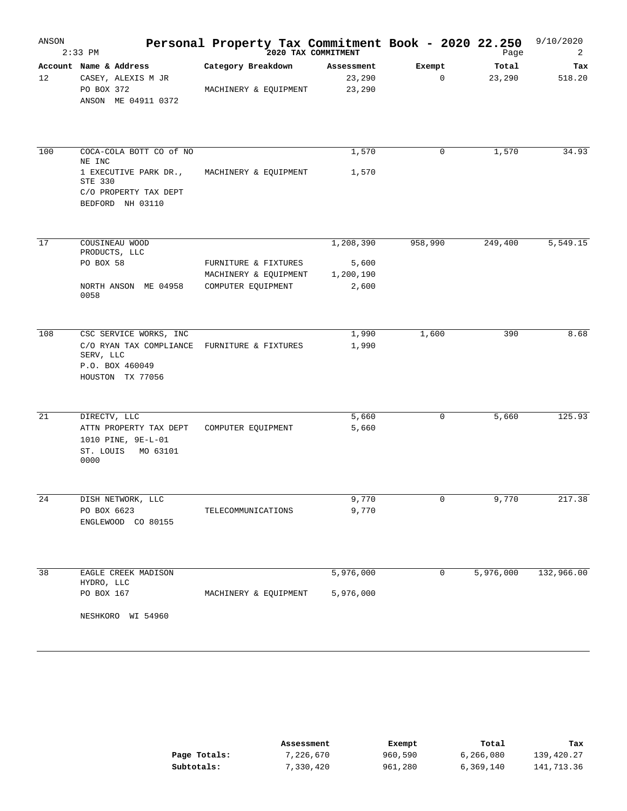| ANSON | $2:33$ PM                                                                                                          | Personal Property Tax Commitment Book - 2020 22.250                 | 2020 TAX COMMITMENT                      |                       | Page            | 9/10/2020<br>2 |
|-------|--------------------------------------------------------------------------------------------------------------------|---------------------------------------------------------------------|------------------------------------------|-----------------------|-----------------|----------------|
| 12    | Account Name & Address<br>CASEY, ALEXIS M JR<br>PO BOX 372<br>ANSON ME 04911 0372                                  | Category Breakdown<br>MACHINERY & EQUIPMENT                         | Assessment<br>23,290<br>23,290           | Exempt<br>$\mathbf 0$ | Total<br>23,290 | Tax<br>518.20  |
| 100   | COCA-COLA BOTT CO of NO<br>NE INC<br>1 EXECUTIVE PARK DR.,<br>STE 330<br>C/O PROPERTY TAX DEPT<br>BEDFORD NH 03110 | MACHINERY & EQUIPMENT                                               | 1,570<br>1,570                           | $\mathbf 0$           | 1,570           | 34.93          |
| 17    | COUSINEAU WOOD<br>PRODUCTS, LLC<br>PO BOX 58<br>NORTH ANSON ME 04958<br>0058                                       | FURNITURE & FIXTURES<br>MACHINERY & EQUIPMENT<br>COMPUTER EQUIPMENT | 1,208,390<br>5,600<br>1,200,190<br>2,600 | 958,990               | 249,400         | 5,549.15       |
| 108   | CSC SERVICE WORKS, INC<br>C/O RYAN TAX COMPLIANCE<br>SERV, LLC<br>P.O. BOX 460049<br>HOUSTON TX 77056              | FURNITURE & FIXTURES                                                | 1,990<br>1,990                           | 1,600                 | 390             | 8.68           |
| 21    | DIRECTV, LLC<br>ATTN PROPERTY TAX DEPT<br>1010 PINE, 9E-L-01<br>ST. LOUIS<br>MO 63101<br>0000                      | COMPUTER EQUIPMENT                                                  | 5,660<br>5,660                           | 0                     | 5,660           | 125.93         |
| 24    | DISH NETWORK, LLC<br>PO BOX 6623<br>ENGLEWOOD CO 80155                                                             | TELECOMMUNICATIONS                                                  | 9,770<br>9,770                           | 0                     | 9,770           | 217.38         |
| 38    | EAGLE CREEK MADISON<br>HYDRO, LLC<br>PO BOX 167<br>NESHKORO WI 54960                                               | MACHINERY & EQUIPMENT                                               | 5,976,000<br>5,976,000                   | 0                     | 5,976,000       | 132,966.00     |

|              | Assessment | Exempt  | Total     | Tax        |
|--------------|------------|---------|-----------|------------|
| Page Totals: | 7,226,670  | 960,590 | 6,266,080 | 139,420.27 |
| Subtotals:   | 7,330,420  | 961,280 | 6,369,140 | 141,713.36 |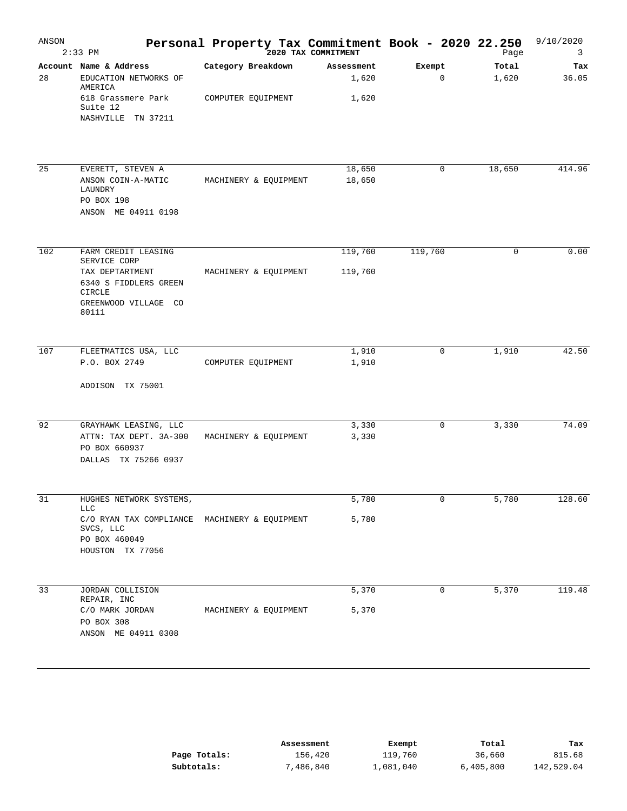| ANSON | $2:33$ PM                                                           | Personal Property Tax Commitment Book - 2020 22.250<br>2020 TAX COMMITMENT |                     |                       | Page           | 9/10/2020<br>3 |
|-------|---------------------------------------------------------------------|----------------------------------------------------------------------------|---------------------|-----------------------|----------------|----------------|
| 28    | Account Name & Address<br>EDUCATION NETWORKS OF<br>AMERICA          | Category Breakdown                                                         | Assessment<br>1,620 | Exempt<br>$\mathbf 0$ | Total<br>1,620 | Tax<br>36.05   |
|       | 618 Grassmere Park<br>Suite 12<br>NASHVILLE TN 37211                | COMPUTER EQUIPMENT                                                         | 1,620               |                       |                |                |
| 25    | EVERETT, STEVEN A                                                   |                                                                            | 18,650              | $\mathbf 0$           | 18,650         | 414.96         |
|       | ANSON COIN-A-MATIC<br>LAUNDRY<br>PO BOX 198                         | MACHINERY & EQUIPMENT                                                      | 18,650              |                       |                |                |
|       | ANSON ME 04911 0198                                                 |                                                                            |                     |                       |                |                |
| 102   | FARM CREDIT LEASING<br>SERVICE CORP                                 |                                                                            | 119,760             | 119,760               | 0              | 0.00           |
|       | TAX DEPTARTMENT<br>6340 S FIDDLERS GREEN<br>CIRCLE                  | MACHINERY & EQUIPMENT                                                      | 119,760             |                       |                |                |
|       | GREENWOOD VILLAGE CO<br>80111                                       |                                                                            |                     |                       |                |                |
| 107   | FLEETMATICS USA, LLC                                                |                                                                            | 1,910               | 0                     | 1,910          | 42.50          |
|       | P.O. BOX 2749                                                       | COMPUTER EQUIPMENT                                                         | 1,910               |                       |                |                |
|       | ADDISON TX 75001                                                    |                                                                            |                     |                       |                |                |
| 92    | GRAYHAWK LEASING, LLC                                               |                                                                            | 3,330               | 0                     | 3,330          | 74.09          |
|       | ATTN: TAX DEPT. 3A-300<br>PO BOX 660937<br>DALLAS TX 75266 0937     | MACHINERY & EQUIPMENT                                                      | 3,330               |                       |                |                |
|       |                                                                     |                                                                            |                     |                       |                |                |
| 31    | HUGHES NETWORK SYSTEMS,<br><b>LLC</b>                               |                                                                            | 5,780               | $\mathbf 0$           | 5,780          | 128.60         |
|       | C/O RYAN TAX COMPLIANCE MACHINERY & EQUIPMENT<br>SVCS, LLC          |                                                                            | 5,780               |                       |                |                |
|       | PO BOX 460049<br>HOUSTON TX 77056                                   |                                                                            |                     |                       |                |                |
| 33    | JORDAN COLLISION                                                    |                                                                            | 5,370               | 0                     | 5,370          | 119.48         |
|       | REPAIR, INC<br>C/O MARK JORDAN<br>PO BOX 308<br>ANSON ME 04911 0308 | MACHINERY & EQUIPMENT                                                      | 5,370               |                       |                |                |
|       |                                                                     |                                                                            |                     |                       |                |                |

|              | Assessment | Exempt    | Total     | Tax        |
|--------------|------------|-----------|-----------|------------|
| Page Totals: | 156,420    | 119,760   | 36,660    | 815.68     |
| Subtotals:   | 7,486,840  | 1,081,040 | 6,405,800 | 142,529.04 |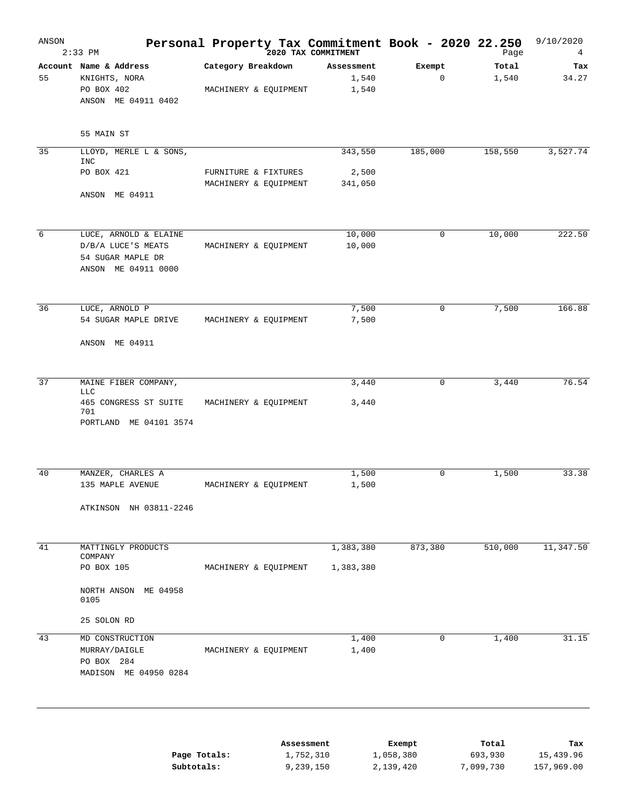| ANSON | $2:33$ PM                                                                               | Personal Property Tax Commitment Book - 2020 22.250<br>2020 TAX COMMITMENT |                              |                                  | Page                          | 9/10/2020<br>4                 |
|-------|-----------------------------------------------------------------------------------------|----------------------------------------------------------------------------|------------------------------|----------------------------------|-------------------------------|--------------------------------|
| 55    | Account Name & Address<br>KNIGHTS, NORA<br>PO BOX 402<br>ANSON ME 04911 0402            | Category Breakdown<br>MACHINERY & EQUIPMENT                                | Assessment<br>1,540<br>1,540 | Exempt<br>$\mathsf 0$            | Total<br>1,540                | Tax<br>34.27                   |
|       | 55 MAIN ST                                                                              |                                                                            |                              |                                  |                               |                                |
| 35    | LLOYD, MERLE L & SONS,<br><b>INC</b>                                                    |                                                                            | 343,550                      | 185,000                          | 158,550                       | 3,527.74                       |
|       | PO BOX 421<br>ANSON ME 04911                                                            | FURNITURE & FIXTURES<br>MACHINERY & EQUIPMENT                              | 2,500<br>341,050             |                                  |                               |                                |
|       |                                                                                         |                                                                            |                              |                                  |                               |                                |
| 6     | LUCE, ARNOLD & ELAINE<br>D/B/A LUCE'S MEATS<br>54 SUGAR MAPLE DR<br>ANSON ME 04911 0000 | MACHINERY & EQUIPMENT                                                      | 10,000<br>10,000             | 0                                | 10,000                        | 222.50                         |
| 36    | LUCE, ARNOLD P                                                                          |                                                                            | 7,500                        | 0                                | 7,500                         | 166.88                         |
|       | 54 SUGAR MAPLE DRIVE<br>ANSON ME 04911                                                  | MACHINERY & EQUIPMENT                                                      | 7,500                        |                                  |                               |                                |
|       |                                                                                         |                                                                            |                              |                                  |                               |                                |
| 37    | MAINE FIBER COMPANY,<br>LLC<br>465 CONGRESS ST SUITE<br>701<br>PORTLAND ME 04101 3574   | MACHINERY & EQUIPMENT                                                      | 3,440<br>3,440               | 0                                | 3,440                         | 76.54                          |
| 40    | MANZER, CHARLES A                                                                       |                                                                            | 1,500                        | $\mathsf 0$                      | 1,500                         | 33.38                          |
|       | 135 MAPLE AVENUE<br>ATKINSON NH 03811-2246                                              | MACHINERY & EQUIPMENT                                                      | 1,500                        |                                  |                               |                                |
|       |                                                                                         |                                                                            |                              |                                  |                               |                                |
| 41    | MATTINGLY PRODUCTS<br>COMPANY                                                           |                                                                            | 1,383,380                    | 873,380                          | 510,000                       | 11,347.50                      |
|       | PO BOX 105<br>NORTH ANSON ME 04958<br>0105                                              | MACHINERY & EQUIPMENT                                                      | 1,383,380                    |                                  |                               |                                |
|       | 25 SOLON RD                                                                             |                                                                            |                              |                                  |                               |                                |
| 43    | MD CONSTRUCTION<br>MURRAY/DAIGLE<br>PO BOX 284<br>MADISON ME 04950 0284                 | MACHINERY & EQUIPMENT                                                      | 1,400<br>1,400               | 0                                | 1,400                         | 31.15                          |
|       | Subtotals:                                                                              | Assessment<br>Page Totals:<br>1,752,310<br>9,239,150                       |                              | Exempt<br>1,058,380<br>2,139,420 | Total<br>693,930<br>7,099,730 | Tax<br>15,439.96<br>157,969.00 |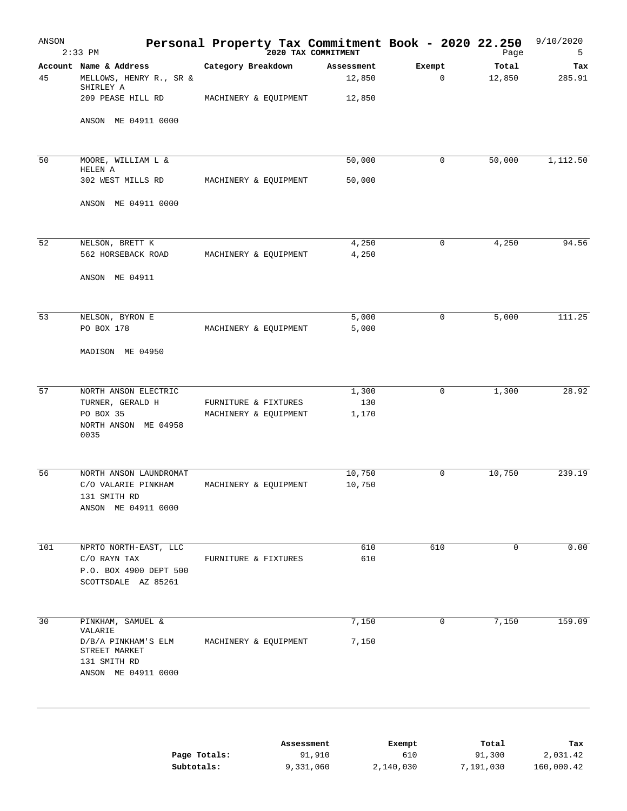| ANSON | $2:33$ PM                                                                              | Personal Property Tax Commitment Book - 2020 22.250 | 2020 TAX COMMITMENT  |               | Page            | 9/10/2020<br>5  |
|-------|----------------------------------------------------------------------------------------|-----------------------------------------------------|----------------------|---------------|-----------------|-----------------|
| 45    | Account Name & Address<br>MELLOWS, HENRY R., SR &<br>SHIRLEY A                         | Category Breakdown                                  | Assessment<br>12,850 | Exempt<br>0   | Total<br>12,850 | Tax<br>285.91   |
|       | 209 PEASE HILL RD<br>ANSON ME 04911 0000                                               | MACHINERY & EQUIPMENT                               | 12,850               |               |                 |                 |
|       |                                                                                        |                                                     |                      |               |                 |                 |
| 50    | MOORE, WILLIAM L &<br>HELEN A                                                          |                                                     | 50,000               | 0             | 50,000          | 1,112.50        |
|       | 302 WEST MILLS RD                                                                      | MACHINERY & EQUIPMENT                               | 50,000               |               |                 |                 |
|       | ANSON ME 04911 0000                                                                    |                                                     |                      |               |                 |                 |
| 52    | NELSON, BRETT K                                                                        |                                                     | 4,250                | 0             | 4,250           | 94.56           |
|       | 562 HORSEBACK ROAD<br>ANSON ME 04911                                                   | MACHINERY & EQUIPMENT                               | 4,250                |               |                 |                 |
|       |                                                                                        |                                                     |                      |               |                 |                 |
| 53    | NELSON, BYRON E<br>PO BOX 178                                                          | MACHINERY & EQUIPMENT                               | 5,000<br>5,000       | 0             | 5,000           | 111.25          |
|       | MADISON ME 04950                                                                       |                                                     |                      |               |                 |                 |
| 57    | NORTH ANSON ELECTRIC                                                                   |                                                     | 1,300                | $\mathbf 0$   | 1,300           | 28.92           |
|       | TURNER, GERALD H<br>PO BOX 35<br>NORTH ANSON ME 04958<br>0035                          | FURNITURE & FIXTURES<br>MACHINERY & EQUIPMENT       | 130<br>1,170         |               |                 |                 |
| 56    | NORTH ANSON LAUNDROMAT                                                                 |                                                     | 10,750               | $\mathbf 0$   | 10,750          | 239.19          |
|       | C/O VALARIE PINKHAM<br>131 SMITH RD<br>ANSON ME 04911 0000                             | MACHINERY & EQUIPMENT                               | 10,750               |               |                 |                 |
| 101   | NPRTO NORTH-EAST, LLC                                                                  |                                                     | 610                  | 610           | $\mathbf 0$     | 0.00            |
|       | C/O RAYN TAX<br>P.O. BOX 4900 DEPT 500<br>SCOTTSDALE AZ 85261                          | FURNITURE & FIXTURES                                | 610                  |               |                 |                 |
| 30    | PINKHAM, SAMUEL &                                                                      |                                                     | 7,150                | 0             | 7,150           | 159.09          |
|       | VALARIE<br>D/B/A PINKHAM'S ELM<br>STREET MARKET<br>131 SMITH RD<br>ANSON ME 04911 0000 | MACHINERY & EQUIPMENT                               | 7,150                |               |                 |                 |
|       |                                                                                        |                                                     |                      |               |                 |                 |
|       |                                                                                        | Page Totals:                                        | Assessment<br>91,910 | Exempt<br>610 | Total<br>91,300 | тах<br>2,031.42 |

**Subtotals:** 9,331,060 2,140,030 7,191,030 160,000.42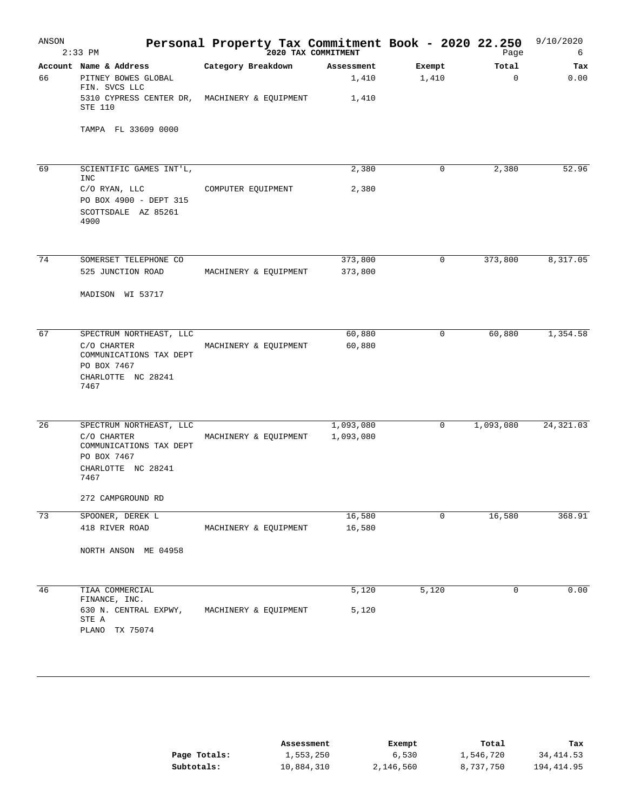| ANSON | $2:33$ PM                                             | Personal Property Tax Commitment Book - 2020 22.250<br>2020 TAX COMMITMENT |                    |             | Page        | 9/10/2020<br>6 |
|-------|-------------------------------------------------------|----------------------------------------------------------------------------|--------------------|-------------|-------------|----------------|
|       | Account Name & Address                                | Category Breakdown                                                         | Assessment         | Exempt      | Total       | Tax            |
| 66    | PITNEY BOWES GLOBAL<br>FIN. SVCS LLC                  |                                                                            | 1,410              | 1,410       | $\mathbf 0$ | 0.00           |
|       | 5310 CYPRESS CENTER DR,<br>STE 110                    | MACHINERY & EQUIPMENT                                                      | 1,410              |             |             |                |
|       | TAMPA FL 33609 0000                                   |                                                                            |                    |             |             |                |
| 69    | SCIENTIFIC GAMES INT'L,                               |                                                                            | 2,380              | 0           | 2,380       | 52.96          |
|       | <b>INC</b>                                            |                                                                            |                    |             |             |                |
|       | C/O RYAN, LLC                                         | COMPUTER EQUIPMENT                                                         | 2,380              |             |             |                |
|       | PO BOX 4900 - DEPT 315<br>SCOTTSDALE AZ 85261<br>4900 |                                                                            |                    |             |             |                |
|       |                                                       |                                                                            |                    |             |             |                |
| 74    | SOMERSET TELEPHONE CO<br>525 JUNCTION ROAD            | MACHINERY & EQUIPMENT                                                      | 373,800<br>373,800 | $\mathbf 0$ | 373,800     | 8,317.05       |
|       |                                                       |                                                                            |                    |             |             |                |
|       | MADISON WI 53717                                      |                                                                            |                    |             |             |                |
| 67    | SPECTRUM NORTHEAST, LLC                               |                                                                            | 60,880             | 0           | 60,880      | 1,354.58       |
|       | C/O CHARTER<br>COMMUNICATIONS TAX DEPT<br>PO BOX 7467 | MACHINERY & EQUIPMENT                                                      | 60,880             |             |             |                |
|       | CHARLOTTE NC 28241<br>7467                            |                                                                            |                    |             |             |                |
| 26    | SPECTRUM NORTHEAST, LLC                               |                                                                            | 1,093,080          | 0           | 1,093,080   | 24, 321.03     |
|       | C/O CHARTER                                           | MACHINERY & EQUIPMENT                                                      | 1,093,080          |             |             |                |
|       | COMMUNICATIONS TAX DEPT<br>PO BOX 7467                |                                                                            |                    |             |             |                |
|       | CHARLOTTE NC 28241<br>7467                            |                                                                            |                    |             |             |                |
|       | 272 CAMPGROUND RD                                     |                                                                            |                    |             |             |                |
| 73    | SPOONER, DEREK L                                      |                                                                            | 16,580             | 0           | 16,580      | 368.91         |
|       | 418 RIVER ROAD                                        | MACHINERY & EQUIPMENT                                                      | 16,580             |             |             |                |
|       | NORTH ANSON ME 04958                                  |                                                                            |                    |             |             |                |
| 46    | TIAA COMMERCIAL                                       |                                                                            | 5,120              | 5,120       | $\mathbf 0$ | 0.00           |
|       | FINANCE, INC.                                         |                                                                            |                    |             |             |                |
|       | 630 N. CENTRAL EXPWY,<br>STE A                        | MACHINERY & EQUIPMENT                                                      | 5,120              |             |             |                |
|       | PLANO TX 75074                                        |                                                                            |                    |             |             |                |

|              | Assessment | Exempt    | Total     | тах        |
|--------------|------------|-----------|-----------|------------|
| Page Totals: | 1,553,250  | 6,530     | 1,546,720 | 34,414.53  |
| Subtotals:   | 10,884,310 | 2,146,560 | 8,737,750 | 194,414.95 |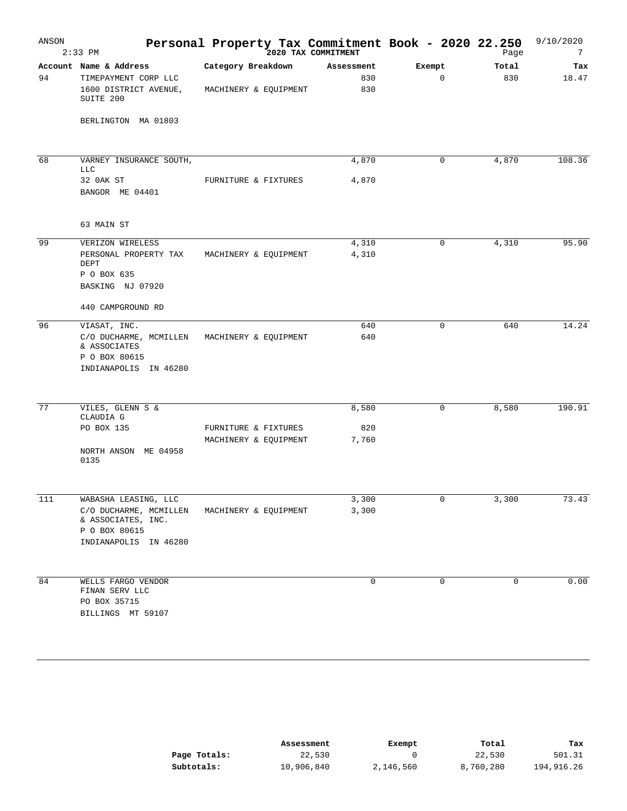| ANSON | $2:33$ PM                                               | Personal Property Tax Commitment Book - 2020 22.250 | 2020 TAX COMMITMENT |             | Page  | 9/10/2020<br>7 |
|-------|---------------------------------------------------------|-----------------------------------------------------|---------------------|-------------|-------|----------------|
|       | Account Name & Address                                  | Category Breakdown                                  | Assessment          | Exempt      | Total | Tax            |
| 94    | TIMEPAYMENT CORP LLC                                    |                                                     | 830<br>830          | $\mathbf 0$ | 830   | 18.47          |
|       | 1600 DISTRICT AVENUE,<br>SUITE 200                      | MACHINERY & EQUIPMENT                               |                     |             |       |                |
|       | BERLINGTON MA 01803                                     |                                                     |                     |             |       |                |
| 68    | VARNEY INSURANCE SOUTH,                                 |                                                     | 4,870               | $\mathbf 0$ | 4,870 | 108.36         |
|       | <b>LLC</b>                                              |                                                     |                     |             |       |                |
|       | 32 OAK ST<br>BANGOR ME 04401                            | FURNITURE & FIXTURES                                | 4,870               |             |       |                |
|       | 63 MAIN ST                                              |                                                     |                     |             |       |                |
| 99    | VERIZON WIRELESS                                        |                                                     | 4,310               | 0           | 4,310 | 95.90          |
|       | PERSONAL PROPERTY TAX<br>DEPT                           | MACHINERY & EQUIPMENT                               | 4,310               |             |       |                |
|       | P O BOX 635                                             |                                                     |                     |             |       |                |
|       | BASKING NJ 07920                                        |                                                     |                     |             |       |                |
|       | 440 CAMPGROUND RD                                       |                                                     |                     |             |       |                |
| 96    | VIASAT, INC.                                            |                                                     | 640                 | $\mathbf 0$ | 640   | 14.24          |
|       | C/O DUCHARME, MCMILLEN<br>& ASSOCIATES<br>P O BOX 80615 | MACHINERY & EQUIPMENT                               | 640                 |             |       |                |
|       | INDIANAPOLIS IN 46280                                   |                                                     |                     |             |       |                |
|       |                                                         |                                                     |                     |             |       |                |
| 77    | VILES, GLENN S &<br>CLAUDIA G                           |                                                     | 8,580               | $\mathbf 0$ | 8,580 | 190.91         |
|       | PO BOX 135                                              | FURNITURE & FIXTURES                                | 820                 |             |       |                |
|       | NORTH ANSON ME 04958                                    | MACHINERY & EQUIPMENT                               | 7,760               |             |       |                |
|       | 0135                                                    |                                                     |                     |             |       |                |
| 111   | WABASHA LEASING, LLC                                    |                                                     | 3,300               | 0           | 3,300 | 73.43          |
|       | C/O DUCHARME, MCMILLEN                                  | MACHINERY & EQUIPMENT                               | 3,300               |             |       |                |
|       | & ASSOCIATES, INC.<br>P O BOX 80615                     |                                                     |                     |             |       |                |
|       | INDIANAPOLIS IN 46280                                   |                                                     |                     |             |       |                |
|       |                                                         |                                                     |                     |             |       |                |
| 84    | WELLS FARGO VENDOR<br>FINAN SERV LLC                    |                                                     | $\mathbf 0$         | 0           | 0     | 0.00           |
|       | PO BOX 35715                                            |                                                     |                     |             |       |                |
|       | BILLINGS MT 59107                                       |                                                     |                     |             |       |                |
|       |                                                         |                                                     |                     |             |       |                |

|              | Assessment | Exempt    | Total     | тах        |
|--------------|------------|-----------|-----------|------------|
| Page Totals: | 22,530     |           | 22,530    | 501.31     |
| Subtotals:   | 10,906,840 | 2,146,560 | 8,760,280 | 194,916.26 |